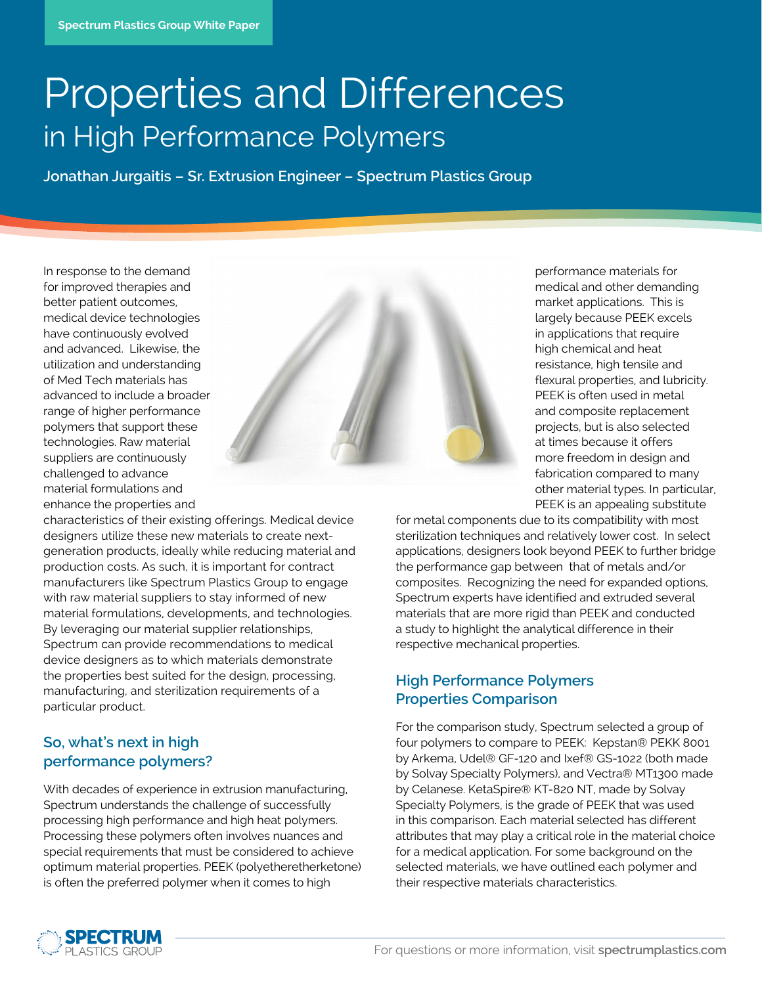# Properties and Differences in High Performance Polymers

**Jonathan Jurgaitis – Sr. Extrusion Engineer – Spectrum Plastics Group** 

In response to the demand for improved therapies and better patient outcomes, medical device technologies have continuously evolved and advanced. Likewise, the utilization and understanding of Med Tech materials has advanced to include a broader range of higher performance polymers that support these technologies. Raw material suppliers are continuously challenged to advance material formulations and enhance the properties and



characteristics of their existing offerings. Medical device designers utilize these new materials to create nextgeneration products, ideally while reducing material and production costs. As such, it is important for contract manufacturers like Spectrum Plastics Group to engage with raw material suppliers to stay informed of new material formulations, developments, and technologies. By leveraging our material supplier relationships, Spectrum can provide recommendations to medical device designers as to which materials demonstrate the properties best suited for the design, processing, manufacturing, and sterilization requirements of a particular product.

## **So, what's next in high performance polymers?**

With decades of experience in extrusion manufacturing, Spectrum understands the challenge of successfully processing high performance and high heat polymers. Processing these polymers often involves nuances and special requirements that must be considered to achieve optimum material properties. PEEK (polyetheretherketone) is often the preferred polymer when it comes to high

performance materials for medical and other demanding market applications. This is largely because PEEK excels in applications that require high chemical and heat resistance, high tensile and flexural properties, and lubricity. PEEK is often used in metal and composite replacement projects, but is also selected at times because it offers more freedom in design and fabrication compared to many other material types. In particular, PEEK is an appealing substitute

for metal components due to its compatibility with most sterilization techniques and relatively lower cost. In select applications, designers look beyond PEEK to further bridge the performance gap between that of metals and/or composites. Recognizing the need for expanded options, Spectrum experts have identified and extruded several materials that are more rigid than PEEK and conducted a study to highlight the analytical difference in their respective mechanical properties.

## **High Performance Polymers Properties Comparison**

For the comparison study, Spectrum selected a group of four polymers to compare to PEEK: Kepstan® PEKK 8001 by Arkema, Udel® GF-120 and Ixef® GS-1022 (both made by Solvay Specialty Polymers), and Vectra® MT1300 made by Celanese. KetaSpire® KT-820 NT, made by Solvay Specialty Polymers, is the grade of PEEK that was used in this comparison. Each material selected has different attributes that may play a critical role in the material choice for a medical application. For some background on the selected materials, we have outlined each polymer and their respective materials characteristics.

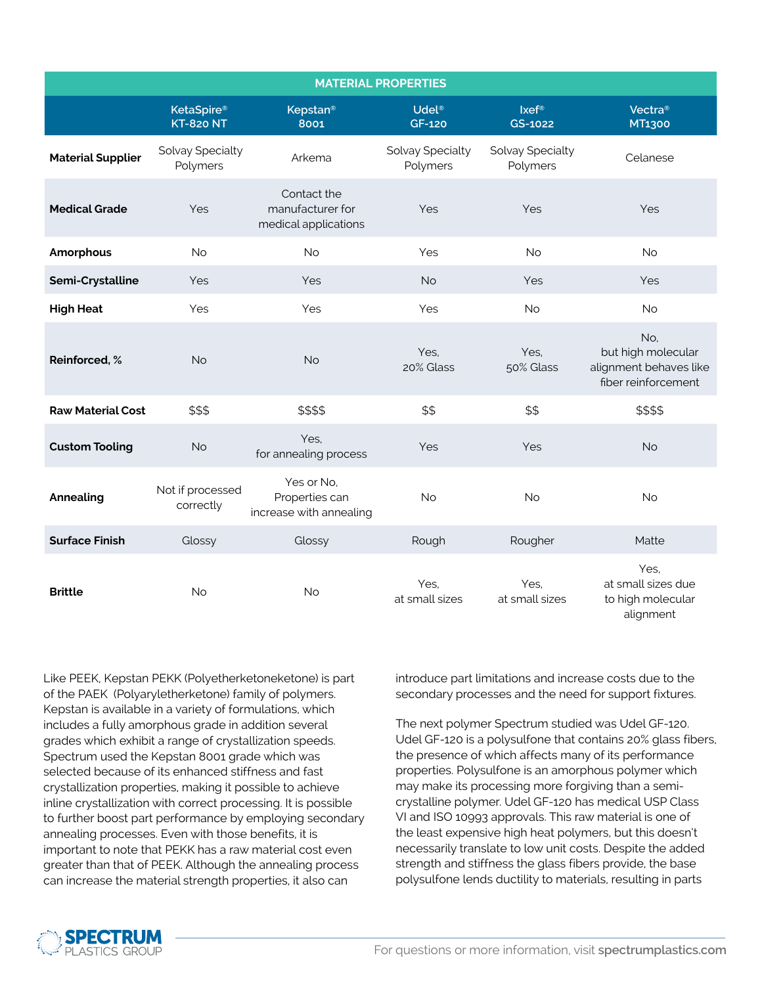| <b>MATERIAL PROPERTIES</b> |                                       |                                                         |                                    |                              |                                                                            |
|----------------------------|---------------------------------------|---------------------------------------------------------|------------------------------------|------------------------------|----------------------------------------------------------------------------|
|                            | <b>KetaSpire®</b><br><b>KT-820 NT</b> | <b>Kepstan®</b><br>8001                                 | Udel <sup>®</sup><br><b>GF-120</b> | Ixef <sup>®</sup><br>GS-1022 | Vectra <sup>®</sup><br>MT1300                                              |
| <b>Material Supplier</b>   | Solvay Specialty<br>Polymers          | Arkema                                                  | Solvay Specialty<br>Polymers       | Solvay Specialty<br>Polymers | Celanese                                                                   |
| <b>Medical Grade</b>       | Yes                                   | Contact the<br>manufacturer for<br>medical applications | Yes                                | Yes                          | Yes                                                                        |
| Amorphous                  | <b>No</b>                             | <b>No</b>                                               | Yes                                | <b>No</b>                    | <b>No</b>                                                                  |
| Semi-Crystalline           | Yes                                   | Yes                                                     | <b>No</b>                          | Yes                          | Yes                                                                        |
| <b>High Heat</b>           | Yes                                   | Yes                                                     | Yes                                | <b>No</b>                    | <b>No</b>                                                                  |
| Reinforced, %              | <b>No</b>                             | <b>No</b>                                               | Yes,<br>20% Glass                  | Yes,<br>50% Glass            | No,<br>but high molecular<br>alignment behaves like<br>fiber reinforcement |
| <b>Raw Material Cost</b>   | \$\$\$                                | \$\$\$\$                                                | \$\$                               | \$\$                         | \$\$\$\$                                                                   |
| <b>Custom Tooling</b>      | <b>No</b>                             | Yes,<br>for annealing process                           | Yes                                | Yes                          | <b>No</b>                                                                  |
| Annealing                  | Not if processed<br>correctly         | Yes or No,<br>Properties can<br>increase with annealing | <b>No</b>                          | No                           | <b>No</b>                                                                  |
| <b>Surface Finish</b>      | Glossy                                | Glossy                                                  | Rough                              | Rougher                      | Matte                                                                      |
| <b>Brittle</b>             | <b>No</b>                             | <b>No</b>                                               | Yes,<br>at small sizes             | Yes,<br>at small sizes       | Yes,<br>at small sizes due<br>to high molecular<br>alignment               |

Like PEEK, Kepstan PEKK (Polyetherketoneketone) is part of the PAEK (Polyaryletherketone) family of polymers. Kepstan is available in a variety of formulations, which includes a fully amorphous grade in addition several grades which exhibit a range of crystallization speeds. Spectrum used the Kepstan 8001 grade which was selected because of its enhanced stiffness and fast crystallization properties, making it possible to achieve inline crystallization with correct processing. It is possible to further boost part performance by employing secondary annealing processes. Even with those benefits, it is important to note that PEKK has a raw material cost even greater than that of PEEK. Although the annealing process can increase the material strength properties, it also can

introduce part limitations and increase costs due to the secondary processes and the need for support fixtures.

The next polymer Spectrum studied was Udel GF-120. Udel GF-120 is a polysulfone that contains 20% glass fibers, the presence of which affects many of its performance properties. Polysulfone is an amorphous polymer which may make its processing more forgiving than a semicrystalline polymer. Udel GF-120 has medical USP Class VI and ISO 10993 approvals. This raw material is one of the least expensive high heat polymers, but this doesn't necessarily translate to low unit costs. Despite the added strength and stiffness the glass fibers provide, the base polysulfone lends ductility to materials, resulting in parts

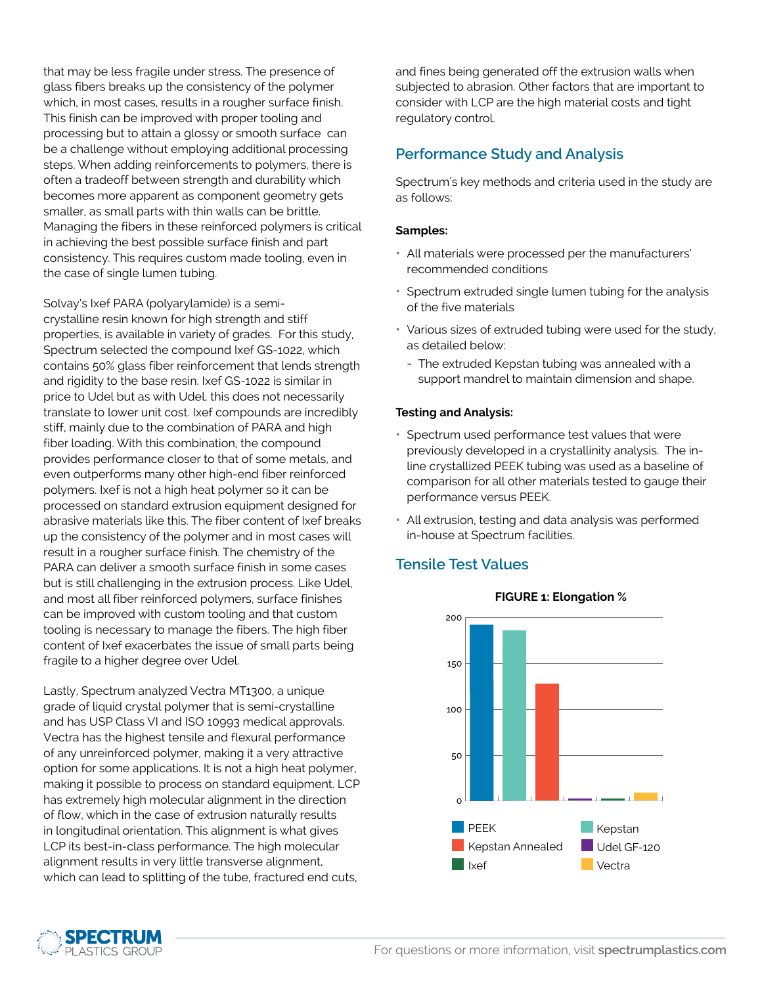that may be less fragile under stress. The presence of glass fibers breaks up the consistency of the polymer which, in most cases, results in a rougher surface finish. This finish can be improved with proper tooling and processing but to attain a glossy or smooth surface can be a challenge without employing additional processing steps. When adding reinforcements to polymers, there is often a tradeoff between strength and durability which becomes more apparent as component geometry gets smaller, as small parts with thin walls can be brittle. Managing the fibers in these reinforced polymers is critical in achieving the best possible surface finish and part consistency. This requires custom made tooling, even in the case of single lumen tubing.

Solvay's Ixef PARA (polyarylamide) is a semicrystalline resin known for high strength and stiff properties, is available in variety of grades. For this study, Spectrum selected the compound Ixef GS-1022, which contains 50% glass fiber reinforcement that lends strength and rigidity to the base resin. Ixef GS-1022 is similar in price to Udel but as with Udel, this does not necessarily translate to lower unit cost. Ixef compounds are incredibly stiff, mainly due to the combination of PARA and high fiber loading. With this combination, the compound provides performance closer to that of some metals, and even outperforms many other high-end fiber reinforced polymers. Ixef is not a high heat polymer so it can be processed on standard extrusion equipment designed for abrasive materials like this. The fiber content of Ixef breaks up the consistency of the polymer and in most cases will result in a rougher surface finish. The chemistry of the PARA can deliver a smooth surface finish in some cases but is still challenging in the extrusion process. Like Udel, and most all fiber reinforced polymers, surface finishes can be improved with custom tooling and that custom tooling is necessary to manage the fibers. The high fiber content of Ixef exacerbates the issue of small parts being fragile to a higher degree over Udel.

Lastly, Spectrum analyzed Vectra MT1300, a unique grade of liquid crystal polymer that is semi-crystalline and has USP Class VI and ISO 10993 medical approvals. Vectra has the highest tensile and flexural performance of any unreinforced polymer, making it a very attractive option for some applications. It is not a high heat polymer, making it possible to process on standard equipment. LCP has extremely high molecular alignment in the direction of flow, which in the case of extrusion naturally results in longitudinal orientation. This alignment is what gives LCP its best-in-class performance. The high molecular alignment results in very little transverse alignment, which can lead to splitting of the tube, fractured end cuts,

and fines being generated off the extrusion walls when subjected to abrasion. Other factors that are important to consider with LCP are the high material costs and tight regulatory control.

## **Performance Study and Analysis**

Spectrum's key methods and criteria used in the study are as follows:

#### **Samples:**

- **•** All materials were processed per the manufacturers' recommended conditions
- **•** Spectrum extruded single lumen tubing for the analysis of the five materials
- **•** Various sizes of extruded tubing were used for the study, as detailed below:
	- **-** The extruded Kepstan tubing was annealed with a support mandrel to maintain dimension and shape.

#### **Testing and Analysis:**

- **•** Spectrum used performance test values that were previously developed in a crystallinity analysis. The inline crystallized PEEK tubing was used as a baseline of comparison for all other materials tested to gauge their performance versus PEEK.
- **•** All extrusion, testing and data analysis was performed in-house at Spectrum facilities.

## **Tensile Test Values**



### **FIGURE 1: Elongation %**

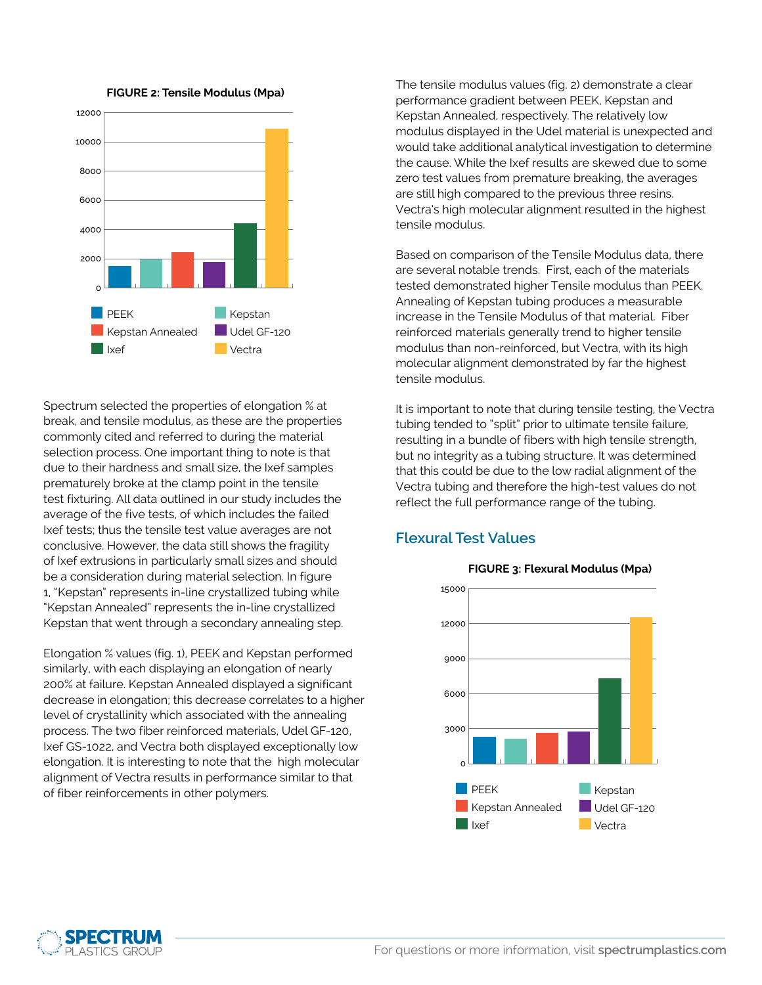

**FIGURE 2: Tensile Modulus (Mpa)**

Spectrum selected the properties of elongation % at break, and tensile modulus, as these are the properties commonly cited and referred to during the material selection process. One important thing to note is that due to their hardness and small size, the Ixef samples prematurely broke at the clamp point in the tensile test fixturing. All data outlined in our study includes the average of the five tests, of which includes the failed Ixef tests; thus the tensile test value averages are not conclusive. However, the data still shows the fragility of Ixef extrusions in particularly small sizes and should be a consideration during material selection. In figure 1, "Kepstan" represents in-line crystallized tubing while "Kepstan Annealed" represents the in-line crystallized Kepstan that went through a secondary annealing step.

Elongation % values (fig. 1), PEEK and Kepstan performed similarly, with each displaying an elongation of nearly 200% at failure. Kepstan Annealed displayed a significant decrease in elongation; this decrease correlates to a higher level of crystallinity which associated with the annealing process. The two fiber reinforced materials, Udel GF-120, Ixef GS-1022, and Vectra both displayed exceptionally low elongation. It is interesting to note that the high molecular alignment of Vectra results in performance similar to that of fiber reinforcements in other polymers.

The tensile modulus values (fig. 2) demonstrate a clear performance gradient between PEEK, Kepstan and Kepstan Annealed, respectively. The relatively low modulus displayed in the Udel material is unexpected and would take additional analytical investigation to determine the cause. While the Ixef results are skewed due to some zero test values from premature breaking, the averages are still high compared to the previous three resins. Vectra's high molecular alignment resulted in the highest tensile modulus.

Based on comparison of the Tensile Modulus data, there are several notable trends. First, each of the materials tested demonstrated higher Tensile modulus than PEEK. Annealing of Kepstan tubing produces a measurable increase in the Tensile Modulus of that material. Fiber reinforced materials generally trend to higher tensile modulus than non-reinforced, but Vectra, with its high molecular alignment demonstrated by far the highest tensile modulus.

It is important to note that during tensile testing, the Vectra tubing tended to "split" prior to ultimate tensile failure, resulting in a bundle of fibers with high tensile strength, but no integrity as a tubing structure. It was determined that this could be due to the low radial alignment of the Vectra tubing and therefore the high-test values do not reflect the full performance range of the tubing.

## **Flexural Test Values**



#### **FIGURE 3: Flexural Modulus (Mpa)**